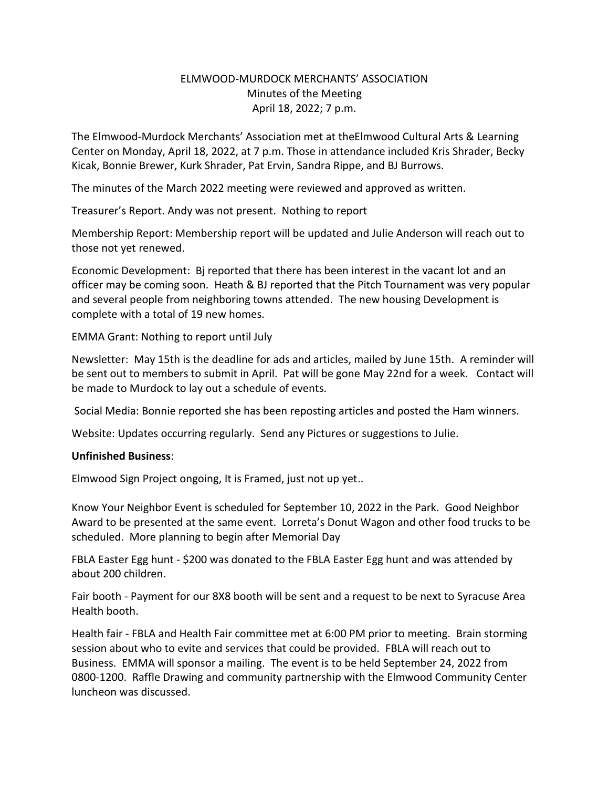## ELMWOOD-MURDOCK MERCHANTS' ASSOCIATION Minutes of the Meeting April 18, 2022; 7 p.m.

The Elmwood-Murdock Merchants' Association met at theElmwood Cultural Arts & Learning Center on Monday, April 18, 2022, at 7 p.m. Those in attendance included Kris Shrader, Becky Kicak, Bonnie Brewer, Kurk Shrader, Pat Ervin, Sandra Rippe, and BJ Burrows.

The minutes of the March 2022 meeting were reviewed and approved as written.

Treasurer's Report. Andy was not present. Nothing to report

Membership Report: Membership report will be updated and Julie Anderson will reach out to those not yet renewed.

Economic Development: Bj reported that there has been interest in the vacant lot and an officer may be coming soon. Heath & BJ reported that the Pitch Tournament was very popular and several people from neighboring towns attended. The new housing Development is complete with a total of 19 new homes.

EMMA Grant: Nothing to report until July

Newsletter: May 15th is the deadline for ads and articles, mailed by June 15th. A reminder will be sent out to members to submit in April. Pat will be gone May 22nd for a week. Contact will be made to Murdock to lay out a schedule of events.

Social Media: Bonnie reported she has been reposting articles and posted the Ham winners.

Website: Updates occurring regularly. Send any Pictures or suggestions to Julie.

## **Unfinished Business**:

Elmwood Sign Project ongoing, It is Framed, just not up yet..

Know Your Neighbor Event is scheduled for September 10, 2022 in the Park. Good Neighbor Award to be presented at the same event. Lorreta's Donut Wagon and other food trucks to be scheduled. More planning to begin after Memorial Day

FBLA Easter Egg hunt - \$200 was donated to the FBLA Easter Egg hunt and was attended by about 200 children.

Fair booth - Payment for our 8X8 booth will be sent and a request to be next to Syracuse Area Health booth.

Health fair - FBLA and Health Fair committee met at 6:00 PM prior to meeting. Brain storming session about who to evite and services that could be provided. FBLA will reach out to Business. EMMA will sponsor a mailing. The event is to be held September 24, 2022 from 0800-1200. Raffle Drawing and community partnership with the Elmwood Community Center luncheon was discussed.